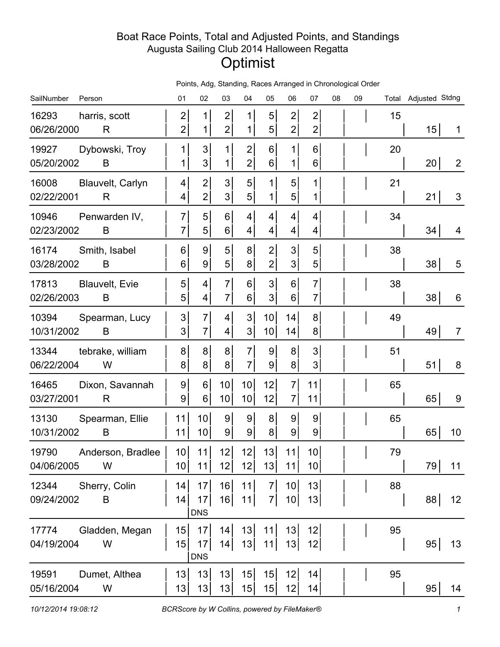## Boat Race Points, Total and Adjusted Points, and Standings Augusta Sailing Club 2014 Halloween Regatta **Optimist**

|  |  |  | Points, Adg, Standing, Races Arranged in Chronological Order |  |
|--|--|--|--------------------------------------------------------------|--|
|  |  |  |                                                              |  |

| SailNumber<br>Person                              | 01                                 | 02                               | 03                                 | 04                                 | 05                               | 06                                 | 07                               | 08 | 09 |    | Total Adjusted Stdng |                |
|---------------------------------------------------|------------------------------------|----------------------------------|------------------------------------|------------------------------------|----------------------------------|------------------------------------|----------------------------------|----|----|----|----------------------|----------------|
| 16293<br>harris, scott<br>06/26/2000<br>R         | $\mathbf{2}$<br>$\mathbf{2}$       | $\mathbf{1}$<br>$\mathbf 1$      | $\mathbf{2}$<br>$\mathbf{2}$       | 1<br>1                             | 5<br>5                           | $\overline{2}$<br>$\overline{2}$   | $\overline{2}$<br>$\overline{c}$ |    |    | 15 | 15                   | 1              |
| Dybowski, Troy<br>19927<br>05/20/2002<br>B        | 1<br>$\mathbf{1}$                  | 3<br>3                           | 1<br>1                             | $\mathbf{2}$<br>$\mathbf{2}$       | 6<br>6                           | 1<br>1                             | 6<br>6                           |    |    | 20 | 20                   | $\overline{2}$ |
| 16008<br>Blauvelt, Carlyn<br>02/22/2001<br>R      | $\vert 4 \vert$<br>$\vert 4 \vert$ | $\overline{c}$<br>$\overline{2}$ | 3 <sup>1</sup><br>3 <sup>1</sup>   | 5 <sup>1</sup><br>5 <sup>1</sup>   | 1<br>$\mathbf 1$                 | 5<br>5                             | 1<br>1                           |    |    | 21 | 21                   | 3              |
| 10946<br>Penwarden IV,<br>02/23/2002<br>B         | $\overline{7}$<br>$\overline{7}$   | 5<br>5                           | 6 <sup>1</sup><br>6 <sup>1</sup>   | $\vert 4 \vert$<br>$\vert 4 \vert$ | 4<br>4                           | 4<br>4                             | 4<br>4                           |    |    | 34 | 34                   | 4              |
| 16174<br>Smith, Isabel<br>03/28/2002<br>B         | 6 <sup>1</sup><br>6 <sup>1</sup>   | 9<br>9                           | 5 <sup>1</sup><br>5 <sup>1</sup>   | 8 <sup>1</sup><br>8 <sup>1</sup>   | $\overline{2}$<br>$\overline{2}$ | 3<br>3                             | 5<br>5                           |    |    | 38 | 38                   | 5              |
| 17813<br><b>Blauvelt, Evie</b><br>02/26/2003<br>B | 5<br>5 <sup>1</sup>                | 4<br>4                           | $\overline{7}$<br>$\overline{7}$   | 6 <sup>1</sup><br>$6 \mid$         | 3<br>3                           | 6<br>6                             | $\overline{7}$<br>$\overline{7}$ |    |    | 38 | 38                   | 6              |
| 10394<br>Spearman, Lucy<br>10/31/2002<br>B        | 3 <sup>1</sup><br>3 <sup>1</sup>   | $\overline{7}$<br>$\overline{7}$ | $\vert 4 \vert$<br>$\vert 4 \vert$ | 3 <sup>1</sup><br>3 <sup>1</sup>   | 10<br>10                         | 14<br>14                           | 8<br>8                           |    |    | 49 | 49                   | $\overline{7}$ |
| 13344<br>tebrake, william<br>06/22/2004<br>W      | 8 <sup>1</sup><br>8 <sup>1</sup>   | 8<br>8 <sup>1</sup>              | 8 <sup>1</sup><br>8 <sup>1</sup>   | $\overline{7}$<br>$\overline{7}$   | 9<br>9                           | 8<br>8 <sup>1</sup>                | 3<br>3                           |    |    | 51 | 51                   | 8              |
| Dixon, Savannah<br>16465<br>03/27/2001<br>R       | 9 <br> 9                           | $6\vert$<br>6                    | 10<br>10 <sup>1</sup>              | 10 <sup>1</sup><br>10 <sup>1</sup> | 12<br>12                         | $\overline{7}$<br>7                | 11<br>11                         |    |    | 65 | 65                   | 9              |
| 13130<br>Spearman, Ellie<br>10/31/2002<br>Β       | 11<br>11                           | 10<br>10                         | 9 <sup>1</sup><br> 9               | 9 <br>$\overline{9}$               | 8<br>8                           | 9<br>9                             | 9<br>9                           |    |    | 65 | 65                   | 10             |
| 19790<br>Anderson, Bradlee<br>04/06/2005<br>W     | 10 <sup>1</sup><br>10 <sup>1</sup> | 11<br>11                         | 12<br>12                           | 12<br>12                           | 13<br>13                         | 11<br>11                           | 10 <sup>1</sup><br>10            |    |    | 79 | 79                   | 11             |
| Sherry, Colin<br>12344<br>B<br>09/24/2002         | 14<br>14                           | 17<br>17<br><b>DNS</b>           | 16<br>16                           | 11<br>11                           | 7 <sup>1</sup><br>7              | 10 <sup>1</sup><br>10 <sup>1</sup> | 13<br>13                         |    |    | 88 | 88                   | 12             |
| Gladden, Megan<br>17774<br>04/19/2004<br>W        | 15<br>15                           | 17<br>17<br><b>DNS</b>           | 14<br>14                           | 13<br>13                           | 11<br>11                         | 13<br> 13                          | 12<br>12                         |    |    | 95 | 95                   | 13             |
| Dumet, Althea<br>19591<br>05/16/2004<br>W         | 13<br>13                           | 13<br>13                         | 13<br>13                           | 15<br>15                           | 15<br>15                         | 12<br>12                           | 14<br>14                         |    |    | 95 | 95                   | 14             |